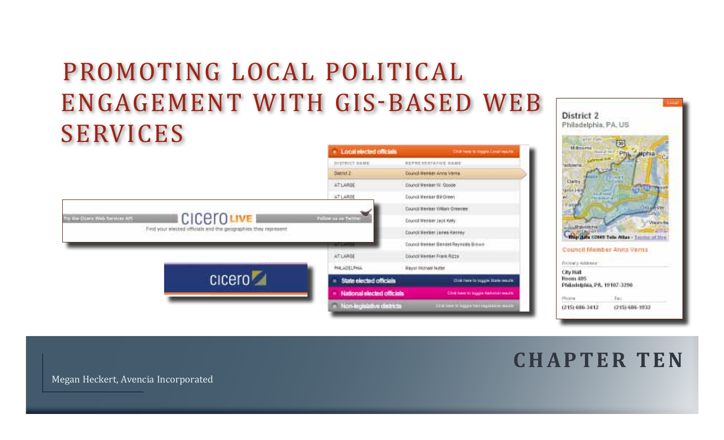# Promoting Local Political Engagement with GIS-based Web **SERVICES**





# **C H A P T E R T E N**

Megan Heckert, Avencia Incorporated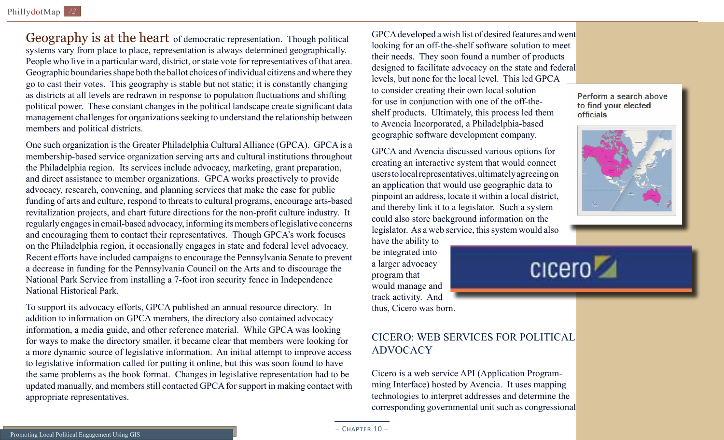Geography is at the heart of democratic representation. Though political systems vary from place to place, representation is always determined geographically. People who live in a particular ward, district, or state vote for representatives of that area. Geographic boundaries shape both the ballot choices of individual citizens and where they go to cast their votes. This geography is stable but not static; it is constantly changing as districts at all levels are redrawn in response to population fluctuations and shifting political power. These constant changes in the political landscape create significant data management challenges for organizations seeking to understand the relationship between members and political districts.

One such organization is the Greater Philadelphia Cultural Alliance (GPCA). GPCA is a membership-based service organization serving arts and cultural institutions throughout the Philadelphia region. Its services include advocacy, marketing, grant preparation, and direct assistance to member organizations. GPCA works proactively to provide advocacy, research, convening, and planning services that make the case for public funding of arts and culture, respond to threats to cultural programs, encourage arts-based revitalization projects, and chart future directions for the non-profit culture industry. It regularly engages in email-based advocacy, informing its members of legislative concerns and encouraging them to contact their representatives. Though GPCA's work focuses on the Philadelphia region, it occasionally engages in state and federal level advocacy. Recent efforts have included campaigns to encourage the Pennsylvania Senate to prevent a decrease in funding for the Pennsylvania Council on the Arts and to discourage the National Park Service from installing a 7-foot iron security fence in Independence National Historical Park.

To support its advocacy efforts, GPCA published an annual resource directory. In addition to information on GPCA members, the directory also contained advocacy information, a media guide, and other reference material. While GPCA was looking for ways to make the directory smaller, it became clear that members were looking for a more dynamic source of legislative information. An initial attempt to improve access to legislative information called for putting it online, but this was soon found to have the same problems as the book format. Changes in legislative representation had to be updated manually, and members still contacted GPCA for support in making contact with appropriate representatives.

GPCA developed a wish list of desired features and went looking for an off-the-shelf software solution to meet their needs. They soon found a number of products designed to facilitate advocacy on the state and federal levels, but none for the local level. This led GPCA to consider creating their own local solution for use in conjunction with one of the off-theshelf products. Ultimately, this process led them to Avencia Incorporated, a Philadelphia-based geographic software development company.

GPCA and Avencia discussed various options for creating an interactive system that would connect users to local representatives, ultimately agreeing on an application that would use geographic data to pinpoint an address, locate it within a local district, and thereby link it to a legislator. Such a system could also store background information on the legislator. As a web service, this system would also

have the ability to be integrated into a larger advocacy program that would manage and track activity. And thus, Cicero was born.

## Cicero: Web Services for Political **ADVOCACY**

Cicero is a web service API (Application Programming Interface) hosted by Avencia. It uses mapping technologies to interpret addresses and determine the corresponding governmental unit such as congressional

Perform a search above to find your elected officials





 $-$  CHAPTER  $10-$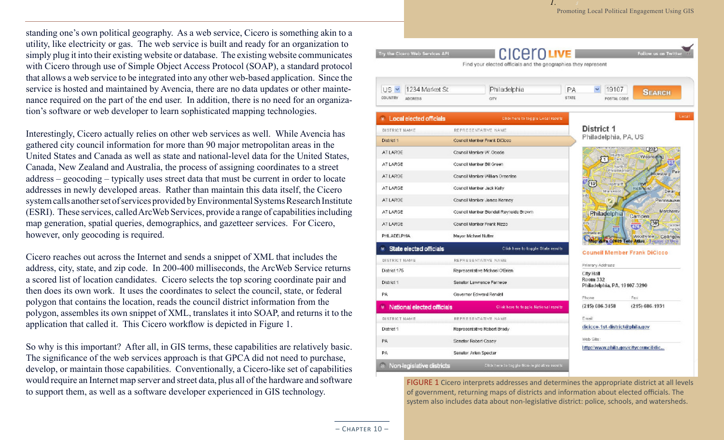standing one's own political geography. As a web service, Cicero is something akin to a utility, like electricity or gas. The web service is built and ready for an organization to simply plug it into their existing website or database. The existing website communicates with Cicero through use of Simple Object Access Protocol (SOAP), a standard protocol that allows a web service to be integrated into any other web-based application. Since the service is hosted and maintained by Avencia, there are no data updates or other maintenance required on the part of the end user. In addition, there is no need for an organization's software or web developer to learn sophisticated mapping technologies.

Interestingly, Cicero actually relies on other web services as well. While Avencia has gathered city council information for more than 90 major metropolitan areas in the United States and Canada as well as state and national-level data for the United States, Canada, New Zealand and Australia, the process of assigning coordinates to a street address – geocoding – typically uses street data that must be current in order to locate addresses in newly developed areas. Rather than maintain this data itself, the Cicero system calls another set of services provided by Environmental Systems Research Institute (ESRI). These services, called ArcWeb Services, provide a range of capabilities including map generation, spatial queries, demographics, and gazetteer services. For Cicero, however, only geocoding is required.

Cicero reaches out across the Internet and sends a snippet of XML that includes the address, city, state, and zip code. In 200-400 milliseconds, the ArcWeb Service returns a scored list of location candidates. Cicero selects the top scoring coordinate pair and then does its own work. It uses the coordinates to select the council, state, or federal polygon that contains the location, reads the council district information from the polygon, assembles its own snippet of XML, translates it into SOAP, and returns it to the application that called it. This Cicero workflow is depicted in Figure 1.

So why is this important? After all, in GIS terms, these capabilities are relatively basic. The significance of the web services approach is that GPCA did not need to purchase, develop, or maintain those capabilities. Conventionally, a Cicero-like set of capabilities would require an Internet map server and street data, plus all of the hardware and software to support them, as well as a software developer experienced in GIS technology.

| 1234 Market St<br>US Y              | Philadelphia                           | 19107<br>РA<br><b>SEARCH</b>                                                     |
|-------------------------------------|----------------------------------------|----------------------------------------------------------------------------------|
| <b>COUNTRY</b><br><b>ADDRESS</b>    | <b>CITY</b>                            | <b>STATE</b><br>POSTAL CODE                                                      |
| <b>Executed officials</b>           | Click here to togglie Local results    |                                                                                  |
| DISTRICT NAME                       | REPRESENTATIVE NAME                    | District 1                                                                       |
| District 1                          | Council Member Frank DiCideo           | Philadelphia, PA, US                                                             |
| AT LARGE                            | Council Member W. Goode                | <b>WELL BERGEN BUILDING</b><br>(232)<br>Hunting                                  |
| AT LARGE                            | Council Member Bill Green.             | <b>Wissingming</b><br>Park<br>North <sup>®</sup>                                 |
| AT LARGE                            | Council Member William Greenlee        | Philadephia <sup>co</sup><br>Pat<br><b>Bridesburg</b>                            |
| AT LARGE                            | Council Member Jack Kelly              | $\sqrt{13}$<br>Hartrant<br>Port<br>Richmond<br>Sharswood<br><b>ist</b><br>Delain |
| AT LARGE                            | Council Member James Kenney            | side<br>Pennsauker                                                               |
| AT LARGE                            | Council Member Blondell Reynolds Brown | Merchanty<br>Philadelphia                                                        |
| AT LARGE                            | Council Member Frank Rizzo             | Camden<br>30<br>erry<br>GOTOR<br>676                                             |
| PHILADELPHIA                        | Mayor Michael Nutter                   | 65<br>nand<br>vriacondo<br>Woodlynne Collingsw                                   |
| <b>State elected officials</b>      | Click here to toggle State results.    | Map data 02009 Tele Atlas, Terms of Use<br><b>Council Member Frank DiCicco</b>   |
| DISTRICT NAME                       | REPRESENTATIVE NAME                    |                                                                                  |
| District 175                        | Representative Michael O'Brien         | Primary Address<br><b>City Hall</b>                                              |
| District 1                          | Senator Lawrence Farnese               | Room 332<br>Philadelphia, P.A. 19107-3290                                        |
| PA                                  | Governor Edward Rendel                 | Phone<br>Paxi                                                                    |
| <b>8</b> National elected officials | Chick here to to ggle National results | (215) 686.3458<br>(215) 686.1931                                                 |
| DISTRICT NAME                       | REPRESENTATIVE NAME                    | Email                                                                            |
| District 1                          | Representative Robert Brady            | dicicco-1st-district@phila.gov                                                   |
| <b>PA</b>                           | Senator Robert Casey                   | Web Site:                                                                        |
| PA                                  | Senator Arlen Specter                  | http://www.phila.gov/citycouncil/dic                                             |

FIGURE 1 Cicero interprets addresses and determines the appropriate district at all levels of government, returning maps of districts and information about elected officials. The system also includes data about non-legislative district: police, schools, and watersheds.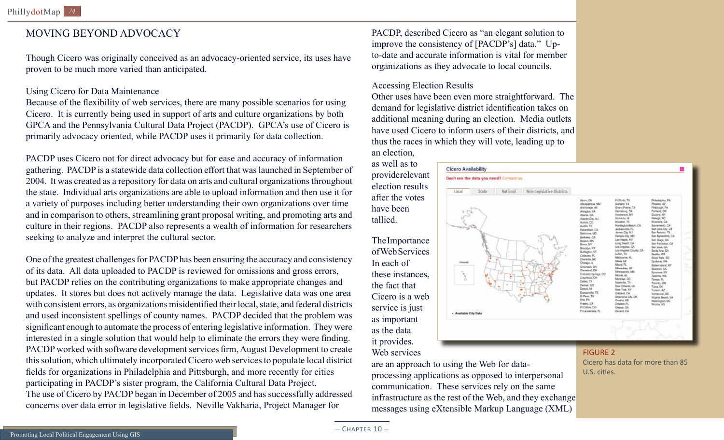### MOVING BEYOND ADVOCACY

Though Cicero was originally conceived as an advocacy-oriented service, its uses have proven to be much more varied than anticipated.

#### Using Cicero for Data Maintenance

Because of the flexibility of web services, there are many possible scenarios for using Cicero. It is currently being used in support of arts and culture organizations by both GPCA and the Pennsylvania Cultural Data Project (PACDP). GPCA's use of Cicero is primarily advocacy oriented, while PACDP uses it primarily for data collection.

PACDP uses Cicero not for direct advocacy but for ease and accuracy of information gathering. PACDP is a statewide data collection effort that was launched in September of 2004. It was created as a repository for data on arts and cultural organizations throughout the state. Individual arts organizations are able to upload information and then use it for a variety of purposes including better understanding their own organizations over time and in comparison to others, streamlining grant proposal writing, and promoting arts and culture in their regions. PACDP also represents a wealth of information for researchers seeking to analyze and interpret the cultural sector.

One of the greatest challenges for PACDP has been ensuring the accuracy and consistency of its data. All data uploaded to PACDP is reviewed for omissions and gross errors, but PACDP relies on the contributing organizations to make appropriate changes and updates. It stores but does not actively manage the data. Legislative data was one area with consistent errors, as organizations misidentified their local, state, and federal districts and used inconsistent spellings of county names. PACDP decided that the problem was significant enough to automate the process of entering legislative information. They were interested in a single solution that would help to eliminate the errors they were finding. PACDP worked with software development services firm, August Development to create this solution, which ultimately incorporated Cicero web services to populate local district fields for organizations in Philadelphia and Pittsburgh, and more recently for cities participating in PACDP's sister program, the California Cultural Data Project. The use of Cicero by PACDP began in December of 2005 and has successfully addressed concerns over data error in legislative fields. Neville Vakharia, Project Manager for

PACDP, described Cicero as "an elegant solution to improve the consistency of [PACDP's] data." Upto-date and accurate information is vital for member organizations as they advocate to local councils.

#### Accessing Election Results

Other uses have been even more straightforward. The demand for legislative district identification takes on additional meaning during an election. Media outlets have used Cicero to inform users of their districts, and thus the races in which they will vote, leading up to an election,

#### **Cicero Availability**

Local

provide relevant election results after the votes have been tallied.

as well as to

The Importance of Web Services In each of these instances, the fact that Cicero is a web service is just as important as the data it provides. Web services

# Don't see the data you need? Contact us.

National

Available City Dat



are an approach to using the Web for data-

processing applications as opposed to interpersonal communication. These services rely on the same infrastructure as the rest of the Web, and they exchange messages using eXtensible Markup Language (XML)

FIGURE 2 Cicero has data for more than 85 U.S. cities.